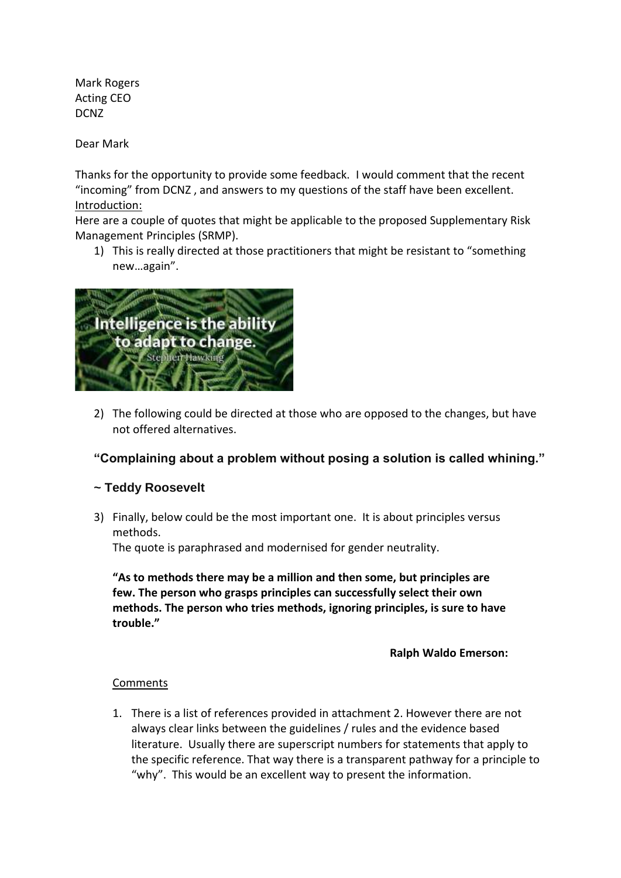Mark Rogers Acting CEO DCNZ

Dear Mark

Thanks for the opportunity to provide some feedback. I would comment that the recent "incoming" from DCNZ , and answers to my questions of the staff have been excellent. Introduction:

Here are a couple of quotes that might be applicable to the proposed Supplementary Risk Management Principles (SRMP).

1) This is really directed at those practitioners that might be resistant to "something new…again".



2) The following could be directed at those who are opposed to the changes, but have not offered alternatives.

## **"Complaining about a problem without posing a solution is called whining."**

## **~ Teddy Roosevelt**

3) Finally, below could be the most important one. It is about principles versus methods.

The quote is paraphrased and modernised for gender neutrality.

**"As to methods there may be a million and then some, but principles are few. The person who grasps principles can successfully select their own methods. The person who tries methods, ignoring principles, is sure to have trouble."**

**Ralph Waldo Emerson:**

## Comments

1. There is a list of references provided in attachment 2. However there are not always clear links between the guidelines / rules and the evidence based literature. Usually there are superscript numbers for statements that apply to the specific reference. That way there is a transparent pathway for a principle to "why". This would be an excellent way to present the information.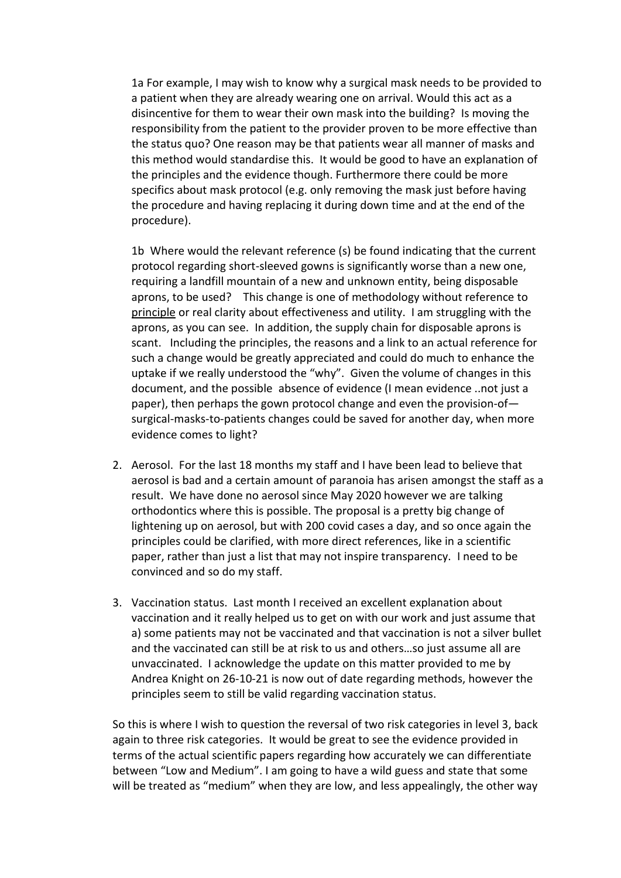1a For example, I may wish to know why a surgical mask needs to be provided to a patient when they are already wearing one on arrival. Would this act as a disincentive for them to wear their own mask into the building? Is moving the responsibility from the patient to the provider proven to be more effective than the status quo? One reason may be that patients wear all manner of masks and this method would standardise this. It would be good to have an explanation of the principles and the evidence though. Furthermore there could be more specifics about mask protocol (e.g. only removing the mask just before having the procedure and having replacing it during down time and at the end of the procedure).

1b Where would the relevant reference (s) be found indicating that the current protocol regarding short-sleeved gowns is significantly worse than a new one, requiring a landfill mountain of a new and unknown entity, being disposable aprons, to be used? This change is one of methodology without reference to principle or real clarity about effectiveness and utility. I am struggling with the aprons, as you can see. In addition, the supply chain for disposable aprons is scant. Including the principles, the reasons and a link to an actual reference for such a change would be greatly appreciated and could do much to enhance the uptake if we really understood the "why". Given the volume of changes in this document, and the possible absence of evidence (I mean evidence ..not just a paper), then perhaps the gown protocol change and even the provision-of surgical-masks-to-patients changes could be saved for another day, when more evidence comes to light?

- 2. Aerosol. For the last 18 months my staff and I have been lead to believe that aerosol is bad and a certain amount of paranoia has arisen amongst the staff as a result. We have done no aerosol since May 2020 however we are talking orthodontics where this is possible. The proposal is a pretty big change of lightening up on aerosol, but with 200 covid cases a day, and so once again the principles could be clarified, with more direct references, like in a scientific paper, rather than just a list that may not inspire transparency. I need to be convinced and so do my staff.
- 3. Vaccination status. Last month I received an excellent explanation about vaccination and it really helped us to get on with our work and just assume that a) some patients may not be vaccinated and that vaccination is not a silver bullet and the vaccinated can still be at risk to us and others…so just assume all are unvaccinated. I acknowledge the update on this matter provided to me by Andrea Knight on 26-10-21 is now out of date regarding methods, however the principles seem to still be valid regarding vaccination status.

So this is where I wish to question the reversal of two risk categories in level 3, back again to three risk categories. It would be great to see the evidence provided in terms of the actual scientific papers regarding how accurately we can differentiate between "Low and Medium". I am going to have a wild guess and state that some will be treated as "medium" when they are low, and less appealingly, the other way